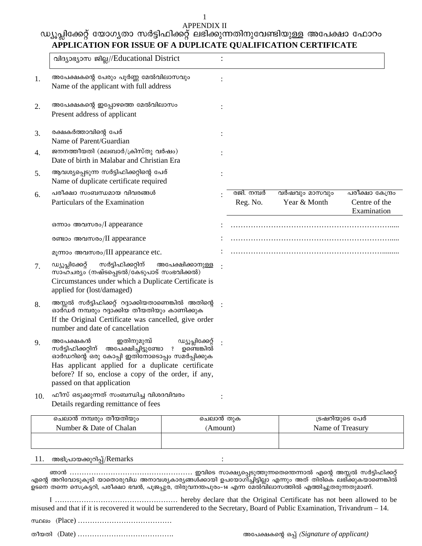**APPENDIX II** 

# ഡ്യൂപ്ലിക്കേറ്റ് യോഗ്യതാ സർട്ടിഫിക്കറ്റ് ലഭിക്കുന്നതിനുവേണ്ടിയുള്ള അപേക്ഷാ ഫോറം APPLICATION FOR ISSUE OF A DUPLICATE QUALIFICATION CERTIFICATE

|     | വിദ്യാഭ്യാസ ജില്ല//Educational District                                                                                                                                                                                                                                                                                                      | $\ddot{\cdot}$ |                        |                               |                                                  |
|-----|----------------------------------------------------------------------------------------------------------------------------------------------------------------------------------------------------------------------------------------------------------------------------------------------------------------------------------------------|----------------|------------------------|-------------------------------|--------------------------------------------------|
| 1.  | അപേക്ഷകന്റെ പേരും പൂർണ്ണ മേൽവിലാസവും<br>Name of the applicant with full address                                                                                                                                                                                                                                                              |                |                        |                               |                                                  |
| 2.  | അപേക്ഷകന്റെ ഇപ്പോഴത്തെ മേൽവിലാസം<br>Present address of applicant                                                                                                                                                                                                                                                                             |                |                        |                               |                                                  |
| 3.  | രക്ഷകർത്താവിന്റെ പേര്<br>Name of Parent/Guardian                                                                                                                                                                                                                                                                                             |                |                        |                               |                                                  |
| 4.  | ജനനത്തീയതി (മലബാർ/ക്രിസ്തു വർഷം)<br>Date of birth in Malabar and Christian Era                                                                                                                                                                                                                                                               |                |                        |                               |                                                  |
| 5.  | ആവശ്യപ്പെടുന്ന സർട്ടിഫിക്കറ്റിന്റെ പേര്<br>Name of duplicate certificate required                                                                                                                                                                                                                                                            |                |                        |                               |                                                  |
| 6.  | പരീക്ഷാ സംബന്ധമായ വിവരങ്ങൾ<br>Particulars of the Examination                                                                                                                                                                                                                                                                                 |                | രജി. നമ്പർ<br>Reg. No. | വർഷവും മാസവും<br>Year & Month | പരീക്ഷാ കേന്ദ്രം<br>Centre of the<br>Examination |
|     | ഒന്നാം അവസരം/I appearance                                                                                                                                                                                                                                                                                                                    |                |                        |                               |                                                  |
|     | രണ്ടാം അവസരം/II appearance                                                                                                                                                                                                                                                                                                                   |                |                        |                               |                                                  |
|     | മൂന്നാം അവസരം/III appearance etc.                                                                                                                                                                                                                                                                                                            |                |                        |                               |                                                  |
| 7.  | സർട്ടിഫിക്കറ്റിന്<br>ഡ്യൂപ്ലിക്കേറ്റ്<br>അപേക്ഷിക്കാനുള്ള<br>സാഹ്ചര്യം (നഷ്ടപ്പെടൽ/ക്കേടുപാട് സംഭവിക്കൽ)<br>Circumstances under which a Duplicate Certificate is                                                                                                                                                                             |                |                        |                               |                                                  |
|     | applied for (lost/damaged)                                                                                                                                                                                                                                                                                                                   |                |                        |                               |                                                  |
| 8.  | അസ്സൽ സർട്ടിഫിക്കറ്റ് റദ്ദാക്കിയതാണെങ്കിൽ അതിന്റെ<br>ഓർ്ഡർ നമ്പരും റദ്ദാക്കിയ തീയതിയും കാണിക്കുക<br>If the Original Certificate was cancelled, give order<br>number and date of cancellation                                                                                                                                                 |                |                        |                               |                                                  |
| 9.  | ഇതിനുമുമ്പ്<br>ഡ്യൂപ്ലിക്കേറ്റ്<br>അപേക്ഷകൻ<br>സർട്ടിഫിക്കറ്റിന്<br>അപേക്ഷിച്ചിട്ടുണ്ടോ<br>? ഉണ്ടെങ്കിൽ<br>ഓർഡറിന്റെ ഒരു കോപ്പി ഇതിനോടൊപ്പം സമർപ്പിക്കുക<br>Has applicant applied for a duplicate certificate<br>before? If so, enclose a copy of the order, if any,<br>passed on that application<br>ഫീസ് ഒടുക്കുന്നത് സംബന്ധിച്ച വിശദവിവരം |                |                        |                               |                                                  |
| 10. | Details regarding remittance of fees<br>ചെലാൻ നമ്പരും തീയതിയും<br>ചെലാൻ തുക                                                                                                                                                                                                                                                                  |                |                        |                               | ട്രഷറിയുടെ പേര്                                  |

Number & Date of Chalan (Amount) Name of Treasury

 $\ddot{\cdot}$ 

11. അഭിപ്രായക്കുറിപ്പ്/Remarks

ഞാൻ ........................ ............................ ഇവിടെ സാക്ഷ്യപ്പെടുത്തുന്നതെന്തെന്നാൽ എന്റെ അസ്സൽ സർട്ടിഫിക്കറ്റ് എന്റെ അറിവോടുകൂടി യാതൊരുവിധ അനാവശ്യകാര്യങ്ങൾക്കായി ഉപയോഗിച്ചിട്ടില്ലാ എന്നും അത് തിരികെ ലഭിക്കുകയാണെങ്കിൽ ഉടനെ തന്നെ സെക്രട്ടറി, പരീക്ഷാ ഭവൻ, പൂജപ്പുര, തിരുവനന്തപുരം–14 എന്ന മേൽവിലാസത്തിൽ എത്തിച്ചുതരുന്നതുമാണ്.

misused and that if it is recovered it would be surrendered to the Secretary, Board of Public Examination, Trivandrum – 14.

|--|--|--|--|